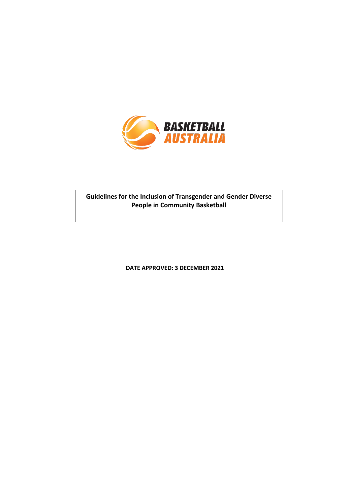

### **Guidelines for the Inclusion of Transgender and Gender Diverse People in Community Basketball**

**DATE APPROVED: 3 DECEMBER 2021**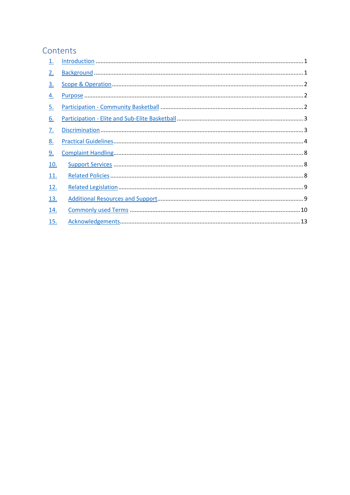### Contents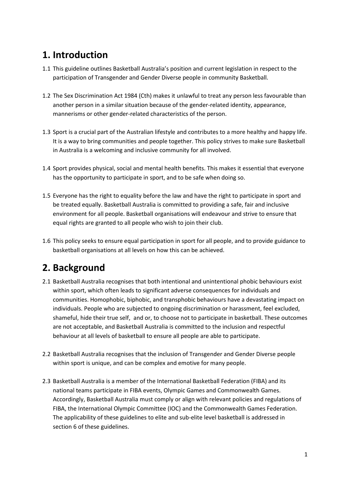## <span id="page-2-0"></span>**1. Introduction**

- 1.1 This guideline outlines Basketball Australia's position and current legislation in respect to the participation of Transgender and Gender Diverse people in community Basketball.
- 1.2 The Sex Discrimination Act 1984 (Cth) makes it unlawful to treat any person less favourable than another person in a similar situation because of the gender-related identity, appearance, mannerisms or other gender-related characteristics of the person.
- 1.3 Sport is a crucial part of the Australian lifestyle and contributes to a more healthy and happy life. It is a way to bring communities and people together. This policy strives to make sure Basketball in Australia is a welcoming and inclusive community for all involved.
- 1.4 Sport provides physical, social and mental health benefits. This makes it essential that everyone has the opportunity to participate in sport, and to be safe when doing so.
- 1.5 Everyone has the right to equality before the law and have the right to participate in sport and be treated equally. Basketball Australia is committed to providing a safe, fair and inclusive environment for all people. Basketball organisations will endeavour and strive to ensure that equal rights are granted to all people who wish to join their club.
- 1.6 This policy seeks to ensure equal participation in sport for all people, and to provide guidance to basketball organisations at all levels on how this can be achieved.

# <span id="page-2-1"></span>**2. Background**

- 2.1 Basketball Australia recognises that both intentional and unintentional phobic behaviours exist within sport, which often leads to significant adverse consequences for individuals and communities. Homophobic, biphobic, and transphobic behaviours have a devastating impact on individuals. People who are subjected to ongoing discrimination or harassment, feel excluded, shameful, hide their true self, and or, to choose not to participate in basketball. These outcomes are not acceptable, and Basketball Australia is committed to the inclusion and respectful behaviour at all levels of basketball to ensure all people are able to participate.
- 2.2 Basketball Australia recognises that the inclusion of Transgender and Gender Diverse people within sport is unique, and can be complex and emotive for many people.
- 2.3 Basketball Australia is a member of the International Basketball Federation (FIBA) and its national teams participate in FIBA events, Olympic Games and Commonwealth Games. Accordingly, Basketball Australia must comply or align with relevant policies and regulations of FIBA, the International Olympic Committee (IOC) and the Commonwealth Games Federation. The applicability of these guidelines to elite and sub-elite level basketball is addressed in section 6 of these guidelines.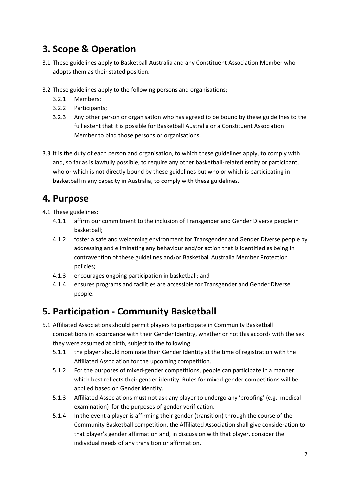# <span id="page-3-0"></span>**3. Scope & Operation**

- 3.1 These guidelines apply to Basketball Australia and any Constituent Association Member who adopts them as their stated position.
- 3.2 These guidelines apply to the following persons and organisations;
	- 3.2.1 Members;
	- 3.2.2 Participants;
	- 3.2.3 Any other person or organisation who has agreed to be bound by these guidelines to the full extent that it is possible for Basketball Australia or a Constituent Association Member to bind those persons or organisations.
- 3.3 It is the duty of each person and organisation, to which these guidelines apply, to comply with and, so far as is lawfully possible, to require any other basketball-related entity or participant, who or which is not directly bound by these guidelines but who or which is participating in basketball in any capacity in Australia, to comply with these guidelines.

## <span id="page-3-1"></span>**4. Purpose**

- 4.1 These guidelines:
	- 4.1.1 affirm our commitment to the inclusion of Transgender and Gender Diverse people in basketball;
	- 4.1.2 foster a safe and welcoming environment for Transgender and Gender Diverse people by addressing and eliminating any behaviour and/or action that is identified as being in contravention of these guidelines and/or Basketball Australia Member Protection policies;
	- 4.1.3 encourages ongoing participation in basketball; and
	- 4.1.4 ensures programs and facilities are accessible for Transgender and Gender Diverse people.

## <span id="page-3-2"></span>**5. Participation - Community Basketball**

- 5.1 Affiliated Associations should permit players to participate in Community Basketball competitions in accordance with their Gender Identity, whether or not this accords with the sex they were assumed at birth, subject to the following:
	- 5.1.1 the player should nominate their Gender Identity at the time of registration with the Affiliated Association for the upcoming competition.
	- 5.1.2 For the purposes of mixed-gender competitions, people can participate in a manner which best reflects their gender identity. Rules for mixed-gender competitions will be applied based on Gender Identity.
	- 5.1.3 Affiliated Associations must not ask any player to undergo any 'proofing' (e.g. medical examination) for the purposes of gender verification.
	- 5.1.4 In the event a player is affirming their gender (transition) through the course of the Community Basketball competition, the Affiliated Association shall give consideration to that player's gender affirmation and, in discussion with that player, consider the individual needs of any transition or affirmation.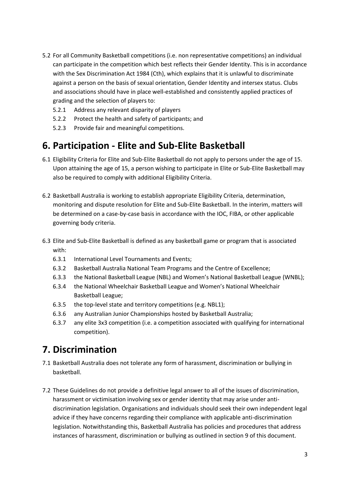- 5.2 For all Community Basketball competitions (i.e. non representative competitions) an individual can participate in the competition which best reflects their Gender Identity. This is in accordance with the Sex Discrimination Act 1984 (Cth), which explains that it is unlawful to discriminate against a person on the basis of sexual orientation, Gender Identity and intersex status. Clubs and associations should have in place well-established and consistently applied practices of grading and the selection of players to:
	- 5.2.1 Address any relevant disparity of players
	- 5.2.2 Protect the health and safety of participants; and
	- 5.2.3 Provide fair and meaningful competitions.

### <span id="page-4-0"></span>**6. Participation - Elite and Sub-Elite Basketball**

- 6.1 Eligibility Criteria for Elite and Sub-Elite Basketball do not apply to persons under the age of 15. Upon attaining the age of 15, a person wishing to participate in Elite or Sub-Elite Basketball may also be required to comply with additional Eligibility Criteria.
- 6.2 Basketball Australia is working to establish appropriate Eligibility Criteria, determination, monitoring and dispute resolution for Elite and Sub-Elite Basketball. In the interim, matters will be determined on a case-by-case basis in accordance with the IOC, FIBA, or other applicable governing body criteria.
- 6.3 Elite and Sub-Elite Basketball is defined as any basketball game or program that is associated with:
	- 6.3.1 International Level Tournaments and Events;
	- 6.3.2 Basketball Australia National Team Programs and the Centre of Excellence;
	- 6.3.3 the National Basketball League (NBL) and Women's National Basketball League (WNBL);
	- 6.3.4 the National Wheelchair Basketball League and Women's National Wheelchair Basketball League;
	- 6.3.5 the top-level state and territory competitions (e.g. NBL1);
	- 6.3.6 any Australian Junior Championships hosted by Basketball Australia;
	- 6.3.7 any elite 3x3 competition (i.e. a competition associated with qualifying for international competition).

### <span id="page-4-1"></span>**7. Discrimination**

- 7.1 Basketball Australia does not tolerate any form of harassment, discrimination or bullying in basketball.
- 7.2 These Guidelines do not provide a definitive legal answer to all of the issues of discrimination, harassment or victimisation involving sex or gender identity that may arise under antidiscrimination legislation. Organisations and individuals should seek their own independent legal advice if they have concerns regarding their compliance with applicable anti-discrimination legislation. Notwithstanding this, Basketball Australia has policies and procedures that address instances of harassment, discrimination or bullying as outlined in section 9 of this document.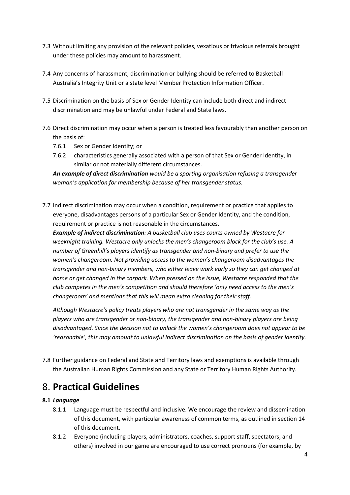- 7.3 Without limiting any provision of the relevant policies, vexatious or frivolous referrals brought under these policies may amount to harassment.
- 7.4 Any concerns of harassment, discrimination or bullying should be referred to Basketball Australia's Integrity Unit or a state level Member Protection Information Officer.
- 7.5 Discrimination on the basis of Sex or Gender Identity can include both direct and indirect discrimination and may be unlawful under Federal and State laws.
- 7.6 Direct discrimination may occur when a person is treated less favourably than another person on the basis of:
	- 7.6.1 Sex or Gender Identity; or
	- 7.6.2 characteristics generally associated with a person of that Sex or Gender Identity, in similar or not materially different circumstances.

*An example of direct discrimination would be a sporting organisation refusing a transgender woman's application for membership because of her transgender status.* 

7.7 Indirect discrimination may occur when a condition, requirement or practice that applies to everyone, disadvantages persons of a particular Sex or Gender Identity, and the condition, requirement or practice is not reasonable in the circumstances.

*Example of indirect discrimination: A basketball club uses courts owned by Westacre for weeknight training. Westacre only unlocks the men's changeroom block for the club's use. A number of Greenhill's players identify as transgender and non-binary and prefer to use the women's changeroom. Not providing access to the women's changeroom disadvantages the transgender and non-binary members, who either leave work early so they can get changed at home or get changed in the carpark. When pressed on the issue, Westacre responded that the club competes in the men's competition and should therefore 'only need access to the men's changeroom' and mentions that this will mean extra cleaning for their staff.* 

*Although Westacre's policy treats players who are not transgender in the same way as the players who are transgender or non-binary, the transgender and non-binary players are being disadvantaged. Since the decision not to unlock the women's changeroom does not appear to be 'reasonable', this may amount to unlawful indirect discrimination on the basis of gender identity.*

7.8 Further guidance on Federal and State and Territory laws and exemptions is available through the Australian Human Rights Commission and any State or Territory Human Rights Authority.

### <span id="page-5-0"></span>8. **Practical Guidelines**

#### **8.1** *Language*

- 8.1.1 Language must be respectful and inclusive. We encourage the review and dissemination of this document, with particular awareness of common terms, as outlined in section 14 of this document.
- 8.1.2 Everyone (including players, administrators, coaches, support staff, spectators, and others) involved in our game are encouraged to use correct pronouns (for example, by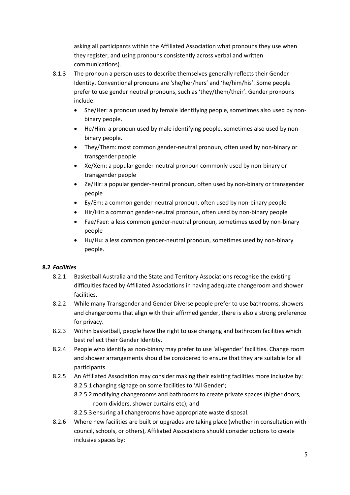asking all participants within the Affiliated Association what pronouns they use when they register, and using pronouns consistently across verbal and written communications).

- 8.1.3 The pronoun a person uses to describe themselves generally reflects their Gender Identity. Conventional pronouns are 'she/her/hers' and 'he/him/his'. Some people prefer to use gender neutral pronouns, such as 'they/them/their'. Gender pronouns include:
	- She/Her: a pronoun used by female identifying people, sometimes also used by nonbinary people.
	- He/Him: a pronoun used by male identifying people, sometimes also used by nonbinary people.
	- They/Them: most common gender-neutral pronoun, often used by non-binary or transgender people
	- Xe/Xem: a popular gender-neutral pronoun commonly used by non-binary or transgender people
	- Ze/Hir: a popular gender-neutral pronoun, often used by non-binary or transgender people
	- Ey/Em: a common gender-neutral pronoun, often used by non-binary people
	- Hir/Hir: a common gender-neutral pronoun, often used by non-binary people
	- Fae/Faer: a less common gender-neutral pronoun, sometimes used by non-binary people
	- Hu/Hu: a less common gender-neutral pronoun, sometimes used by non-binary people.

#### **8.2** *Facilities*

- 8.2.1 Basketball Australia and the State and Territory Associations recognise the existing difficulties faced by Affiliated Associations in having adequate changeroom and shower facilities.
- 8.2.2 While many Transgender and Gender Diverse people prefer to use bathrooms, showers and changerooms that align with their affirmed gender, there is also a strong preference for privacy.
- 8.2.3 Within basketball, people have the right to use changing and bathroom facilities which best reflect their Gender Identity.
- 8.2.4 People who identify as non-binary may prefer to use 'all-gender' facilities. Change room and shower arrangements should be considered to ensure that they are suitable for all participants.
- 8.2.5 An Affiliated Association may consider making their existing facilities more inclusive by: 8.2.5.1 changing signage on some facilities to 'All Gender';
	- 8.2.5.2modifying changerooms and bathrooms to create private spaces (higher doors, room dividers, shower curtains etc); and
	- 8.2.5.3 ensuring all changerooms have appropriate waste disposal.
- 8.2.6 Where new facilities are built or upgrades are taking place (whether in consultation with council, schools, or others), Affiliated Associations should consider options to create inclusive spaces by: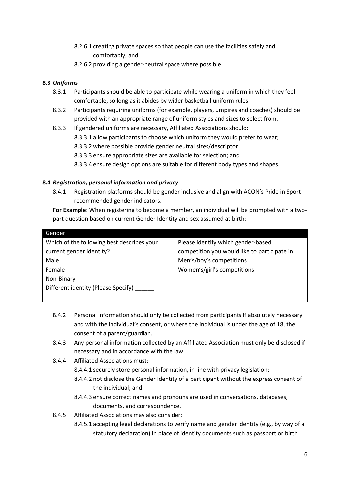- 8.2.6.1 creating private spaces so that people can use the facilities safely and comfortably; and
- 8.2.6.2 providing a gender-neutral space where possible.

### **8.3** *Uniforms*

- 8.3.1 Participants should be able to participate while wearing a uniform in which they feel comfortable, so long as it abides by wider basketball uniform rules.
- 8.3.2 Participants requiring uniforms (for example, players, umpires and coaches) should be provided with an appropriate range of uniform styles and sizes to select from.
- 8.3.3 If gendered uniforms are necessary, Affiliated Associations should: 8.3.3.1 allow participants to choose which uniform they would prefer to wear; 8.3.3.2 where possible provide gender neutral sizes/descriptor 8.3.3.3 ensure appropriate sizes are available for selection; and 8.3.3.4 ensure design options are suitable for different body types and shapes.

### **8.4** *Registration, personal information and privacy*

8.4.1 Registration platforms should be gender inclusive and align with ACON's Pride in Sport recommended gender indicators.

**For Example**: When registering to become a member, an individual will be prompted with a twopart question based on current Gender Identity and sex assumed at birth:

| Gender                                     |                                               |
|--------------------------------------------|-----------------------------------------------|
| Which of the following best describes your | Please identify which gender-based            |
| current gender identity?                   | competition you would like to participate in: |
| Male                                       | Men's/boy's competitions                      |
| Female                                     | Women's/girl's competitions                   |
| Non-Binary                                 |                                               |
| Different identity (Please Specify)        |                                               |
|                                            |                                               |

- 8.4.2 Personal information should only be collected from participants if absolutely necessary and with the individual's consent, or where the individual is under the age of 18, the consent of a parent/guardian.
- 8.4.3 Any personal information collected by an Affiliated Association must only be disclosed if necessary and in accordance with the law.
- 8.4.4 Affiliated Associations must:
	- 8.4.4.1 securely store personal information, in line with privacy legislation;
		- 8.4.4.2 not disclose the Gender Identity of a participant without the express consent of the individual; and
		- 8.4.4.3 ensure correct names and pronouns are used in conversations, databases, documents, and correspondence.
- 8.4.5 Affiliated Associations may also consider:
	- 8.4.5.1 accepting legal declarations to verify name and gender identity (e.g., by way of a statutory declaration) in place of identity documents such as passport or birth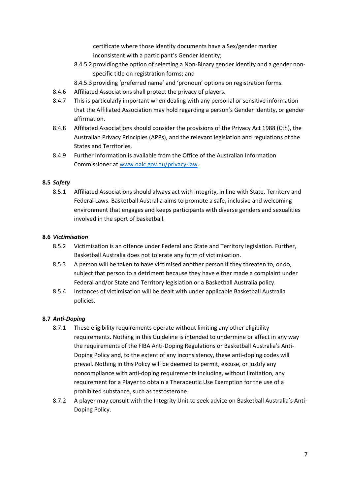certificate where those identity documents have a Sex/gender marker inconsistent with a participant's Gender Identity;

- 8.4.5.2 providing the option of selecting a Non-Binary gender identity and a gender nonspecific title on registration forms; and
- 8.4.5.3 providing 'preferred name' and 'pronoun' options on registration forms.
- 8.4.6 Affiliated Associations shall protect the privacy of players.
- 8.4.7 This is particularly important when dealing with any personal or sensitive information that the Affiliated Association may hold regarding a person's Gender Identity, or gender affirmation.
- 8.4.8 Affiliated Associations should consider the provisions of the Privacy Act 1988 (Cth), the Australian Privacy Principles (APPs), and the relevant legislation and regulations of the States and Territories.
- 8.4.9 Further information is available from the Office of the Australian Information Commissioner a[t www.oaic.gov.au/privacy-law.](http://www.oaic.gov.au/privacy-law)

#### **8.5** *Safety*

8.5.1 Affiliated Associations should always act with integrity, in line with State, Territory and Federal Laws. Basketball Australia aims to promote a safe, inclusive and welcoming environment that engages and keeps participants with diverse genders and sexualities involved in the sport of basketball.

#### **8.6** *Victimisation*

- 8.5.2 Victimisation is an offence under Federal and State and Territory legislation. Further, Basketball Australia does not tolerate any form of victimisation.
- 8.5.3 A person will be taken to have victimised another person if they threaten to, or do, subject that person to a detriment because they have either made a complaint under Federal and/or State and Territory legislation or a Basketball Australia policy.
- 8.5.4 Instances of victimisation will be dealt with under applicable Basketball Australia policies.

#### **8.7** *Anti-Doping*

- 8.7.1 These eligibility requirements operate without limiting any other eligibility requirements. Nothing in this Guideline is intended to undermine or affect in any way the requirements of the FIBA Anti-Doping Regulations or Basketball Australia's Anti-Doping Policy and, to the extent of any inconsistency, these anti-doping codes will prevail. Nothing in this Policy will be deemed to permit, excuse, or justify any noncompliance with anti-doping requirements including, without limitation, any requirement for a Player to obtain a Therapeutic Use Exemption for the use of a prohibited substance, such as testosterone.
- 8.7.2 A player may consult with the Integrity Unit to seek advice on Basketball Australia's Anti-Doping Policy.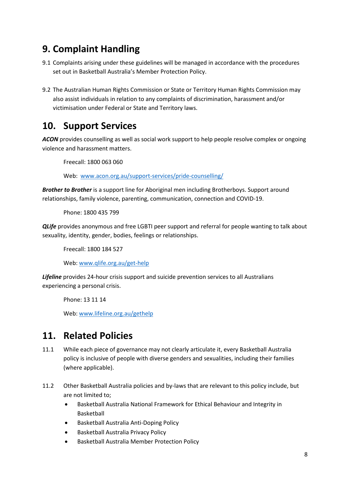## <span id="page-9-0"></span>**9. Complaint Handling**

- 9.1 Complaints arising under these guidelines will be managed in accordance with the procedures set out in Basketball Australia's Member Protection Policy.
- 9.2 The Australian Human Rights Commission or State or Territory Human Rights Commission may also assist individuals in relation to any complaints of discrimination, harassment and/or victimisation under Federal or State and Territory laws.

## <span id="page-9-1"></span>**10. Support Services**

*ACON* provides counselling as well as social work support to help people resolve complex or ongoing violence and harassment matters.

Freecall: 1800 063 060

Web: [www.acon.org.au/support-services/pride-counselling/](http://www.acon.org.au/support-services/pride-counselling/)

*Brother to Brother* is a support line for Aboriginal men including Brotherboys. Support around relationships, family violence, parenting, communication, connection and COVID-19.

Phone: 1800 435 799

**QLife** provides anonymous and free LGBTI peer support and referral for people wanting to talk about sexuality, identity, gender, bodies, feelings or relationships.

Freecall: 1800 184 527

Web[: www.qlife.org.au/get-help](http://www.qlife.org.au/get-help)

*Lifeline* provides 24-hour crisis support and suicide prevention services to all Australians experiencing a personal crisis.

Phone: 13 11 14

Web[: www.lifeline.org.au/gethelp](http://www.lifeline.org.au/gethelp)

### <span id="page-9-2"></span>**11. Related Policies**

- 11.1 While each piece of governance may not clearly articulate it, every Basketball Australia policy is inclusive of people with diverse genders and sexualities, including their families (where applicable).
- 11.2 Other Basketball Australia policies and by-laws that are relevant to this policy include, but are not limited to;
	- Basketball Australia National Framework for Ethical Behaviour and Integrity in Basketball
	- Basketball Australia Anti-Doping Policy
	- Basketball Australia Privacy Policy
	- Basketball Australia Member Protection Policy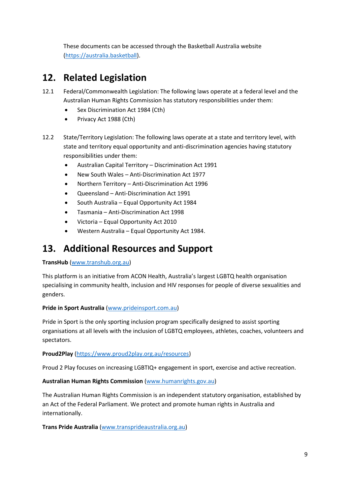These documents can be accessed through the Basketball Australia website [\(https://australia.basketball\)](https://australia.basketball/).

## <span id="page-10-0"></span>**12. Related Legislation**

- 12.1 Federal/Commonwealth Legislation: The following laws operate at a federal level and the Australian Human Rights Commission has statutory responsibilities under them:
	- Sex Discrimination Act 1984 (Cth)
	- Privacy Act 1988 (Cth)
- 12.2 State/Territory Legislation: The following laws operate at a state and territory level, with state and territory equal opportunity and anti-discrimination agencies having statutory responsibilities under them:
	- Australian Capital Territory Discrimination Act 1991
	- New South Wales Anti-Discrimination Act 1977
	- Northern Territory Anti-Discrimination Act 1996
	- Queensland Anti-Discrimination Act 1991
	- South Australia Equal Opportunity Act 1984
	- Tasmania Anti-Discrimination Act 1998
	- Victoria Equal Opportunity Act 2010
	- Western Australia Equal Opportunity Act 1984.

### <span id="page-10-1"></span>**13. Additional Resources and Support**

#### **TransHub** [\(www.transhub.org.au\)](http://www.transhub.org.au/)

This platform is an initiative from ACON Health, Australia's largest LGBTQ health organisation specialising in community health, inclusion and HIV responses for people of diverse sexualities and genders.

#### **Pride in Sport Australia** [\(www.prideinsport.com.au\)](http://www.prideinsport.com.au/)

Pride in Sport is the only sporting inclusion program specifically designed to assist sporting organisations at all levels with the inclusion of LGBTQ employees, athletes, coaches, volunteers and spectators.

#### **Proud2Play** [\(https://www.proud2play.org.au/resources\)](https://www.proud2play.org.au/resources)

Proud 2 Play focuses on increasing LGBTIQ+ engagement in sport, exercise and active recreation.

#### **Australian Human Rights Commission** [\(www.humanrights.gov.au\)](http://www.humanrights.gov.au/)

The Australian Human Rights Commission is an independent statutory organisation, established by an Act of the Federal Parliament. We protect and promote human rights in Australia and internationally.

**Trans Pride Australia** [\(www.transprideaustralia.org.au\)](http://www.transprideaustralia.org.au/)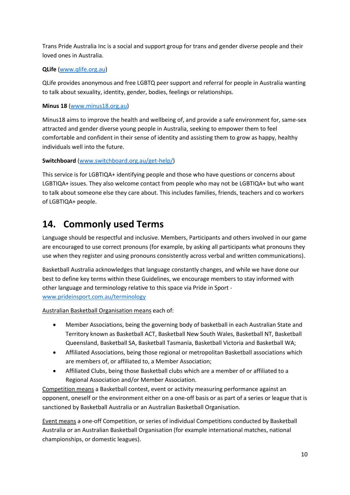Trans Pride Australia Inc is a social and support group for trans and gender diverse people and their loved ones in Australia.

#### **QLife** [\(www.qlife.org.au\)](http://www.qlife.org.au/)

QLife provides anonymous and free LGBTQ peer support and referral for people in Australia wanting to talk about sexuality, identity, gender, bodies, feelings or relationships.

### **Minus 18** [\(www.minus18.org.au\)](http://www.minus18.org.au/)

Minus18 aims to improve the health and wellbeing of, and provide a safe environment for, same-sex attracted and gender diverse young people in Australia, seeking to empower them to feel comfortable and confident in their sense of identity and assisting them to grow as happy, healthy individuals well into the future.

### **Switchboard** [\(www.switchboard.org.au/get-help/\)](http://www.switchboard.org.au/get-help/)

This service is for LGBTIQA+ identifying people and those who have questions or concerns about LGBTIQA+ issues. They also welcome contact from people who may not be LGBTIQA+ but who want to talk about someone else they care about. This includes families, friends, teachers and co workers of LGBTIQA+ people.

### <span id="page-11-0"></span>**14. Commonly used Terms**

Language should be respectful and inclusive. Members, Participants and others involved in our game are encouraged to use correct pronouns (for example, by asking all participants what pronouns they use when they register and using pronouns consistently across verbal and written communications).

Basketball Australia acknowledges that language constantly changes, and while we have done our best to define key terms within these Guidelines, we encourage members to stay informed with other language and terminology relative to this space via Pride in Sport [www.prideinsport.com.au/terminology](http://www.prideinsport.com.au/terminology)

Australian Basketball Organisation means each of:

- Member Associations, being the governing body of basketball in each Australian State and Territory known as Basketball ACT, Basketball New South Wales, Basketball NT, Basketball Queensland, Basketball SA, Basketball Tasmania, Basketball Victoria and Basketball WA;
- Affiliated Associations, being those regional or metropolitan Basketball associations which are members of, or affiliated to, a Member Association;
- Affiliated Clubs, being those Basketball clubs which are a member of or affiliated to a Regional Association and/or Member Association.

Competition means a Basketball contest, event or activity measuring performance against an opponent, oneself or the environment either on a one-off basis or as part of a series or league that is sanctioned by Basketball Australia or an Australian Basketball Organisation.

Event means a one-off Competition, or series of individual Competitions conducted by Basketball Australia or an Australian Basketball Organisation (for example international matches, national championships, or domestic leagues).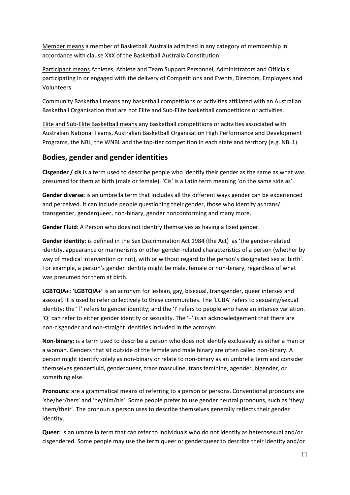Member means a member of Basketball Australia admitted in any category of membership in accordance with clause XXX of the Basketball Australia Constitution.

Participant means Athletes, Athlete and Team Support Personnel, Administrators and Officials participating in or engaged with the delivery of Competitions and Events, Directors, Employees and Volunteers.

Community Basketball means any basketball competitions or activities affiliated with an Australian Basketball Organisation that are not Elite and Sub-Elite basketball competitions or activities.

Elite and Sub-Elite Basketball means any basketball competitions or activities associated with Australian National Teams, Australian Basketball Organisation High Performance and Development Programs, the NBL, the WNBL and the top-tier competition in each state and territory (e.g. NBL1).

### **Bodies, gender and gender identities**

**Cisgender / cis** is a term used to describe people who identify their gender as the same as what was presumed for them at birth (male or female). 'Cis' is a Latin term meaning 'on the same side as'.

**Gender diverse:** is an umbrella term that includes all the different ways gender can be experienced and perceived. It can include people questioning their gender, those who identify as trans/ transgender, genderqueer, non-binary, gender nonconforming and many more.

**Gender Fluid**: A Person who does not identify themselves as having a fixed gender.

**Gender identity**: is defined in the Sex Discrimination Act 1984 (the Act) as 'the gender-related identity, appearance or mannerisms or other gender-related characteristics of a person (whether by way of medical intervention or not), with or without regard to the person's designated sex at birth'. For example, a person's gender identity might be male, female or non-binary, regardless of what was presumed for them at birth.

**LGBTQIA+: 'LGBTQIA+'** is an acronym for lesbian, gay, bisexual, transgender, queer intersex and asexual. It is used to refer collectively to these communities. The 'LGBA' refers to sexuality/sexual identity; the 'T' refers to gender identity; and the 'I' refers to people who have an intersex variation. 'Q' can refer to either gender identity or sexuality. The '+' is an acknowledgement that there are non-cisgender and non-straight identities included in the acronym.

**Non-binary:** is a term used to describe a person who does not identify exclusively as either a man or a woman. Genders that sit outside of the female and male binary are often called non-binary. A person might identify solely as non-binary or relate to non-binary as an umbrella term and consider themselves genderfluid, genderqueer, trans masculine, trans feminine, agender, bigender, or something else.

**Pronouns:** are a grammatical means of referring to a person or persons. Conventional pronouns are 'she/her/hers' and 'he/him/his'. Some people prefer to use gender neutral pronouns, such as 'they/ them/their'. The pronoun a person uses to describe themselves generally reflects their gender identity.

**Queer:** is an umbrella term that can refer to individuals who do not identify as heterosexual and/or cisgendered. Some people may use the term queer or genderqueer to describe their identity and/or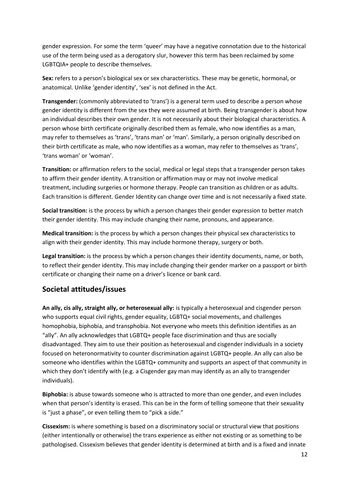gender expression. For some the term 'queer' may have a negative connotation due to the historical use of the term being used as a derogatory slur, however this term has been reclaimed by some LGBTQIA+ people to describe themselves.

**Sex:** refers to a person's biological sex or sex characteristics. These may be genetic, hormonal, or anatomical. Unlike 'gender identity', 'sex' is not defined in the Act.

**Transgender:** (commonly abbreviated to 'trans') is a general term used to describe a person whose gender identity is different from the sex they were assumed at birth. Being transgender is about how an individual describes their own gender. It is not necessarily about their biological characteristics. A person whose birth certificate originally described them as female, who now identifies as a man, may refer to themselves as 'trans', 'trans man' or 'man'. Similarly, a person originally described on their birth certificate as male, who now identifies as a woman, may refer to themselves as 'trans', 'trans woman' or 'woman'.

**Transition:** or affirmation refers to the social, medical or legal steps that a transgender person takes to affirm their gender identity. A transition or affirmation may or may not involve medical treatment, including surgeries or hormone therapy. People can transition as children or as adults. Each transition is different. Gender Identity can change over time and is not necessarily a fixed state.

**Social transition:** is the process by which a person changes their gender expression to better match their gender identity. This may include changing their name, pronouns, and appearance.

**Medical transition:** is the process by which a person changes their physical sex characteristics to align with their gender identity. This may include hormone therapy, surgery or both.

**Legal transition:** is the process by which a person changes their identity documents, name, or both, to reflect their gender identity. This may include changing their gender marker on a passport or birth certificate or changing their name on a driver's licence or bank card.

### **Societal attitudes/issues**

**An ally, cis ally, straight ally, or heterosexual ally:** is typically a heterosexual and cisgender person who supports equal civil rights, gender equality, LGBTQ+ social movements, and challenges homophobia, biphobia, and transphobia. Not everyone who meets this definition identifies as an "ally". An ally acknowledges that LGBTQ+ people face discrimination and thus are socially disadvantaged. They aim to use their position as heterosexual and cisgender individuals in a society focused on heteronormativity to counter discrimination against LGBTQ+ people. An ally can also be someone who identifies within the LGBTQ+ community and supports an aspect of that community in which they don't identify with (e.g. a Cisgender gay man may identify as an ally to transgender individuals).

**Biphobia:** is abuse towards someone who is attracted to more than one gender, and even includes when that person's identity is erased. This can be in the form of telling someone that their sexuality is "just a phase", or even telling them to "pick a side."

**Cissexism:** is where something is based on a discriminatory social or structural view that positions (either intentionally or otherwise) the trans experience as either not existing or as something to be pathologised. Cissexism believes that gender identity is determined at birth and is a fixed and innate